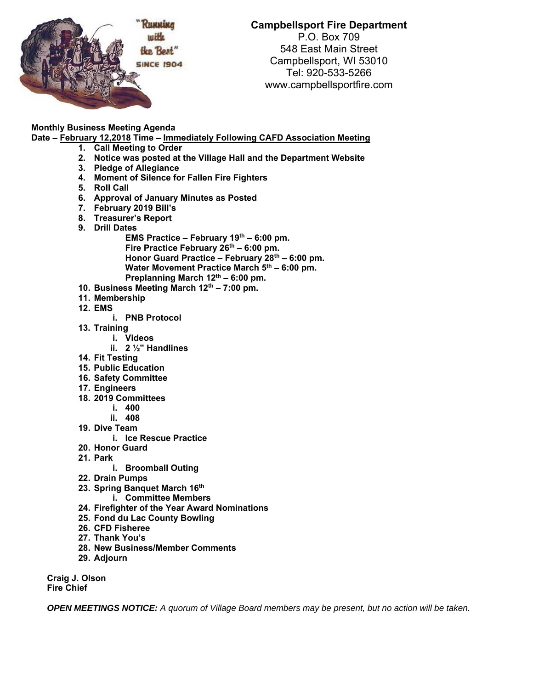

## **Campbellsport Fire Department**

P.O. Box 709 548 East Main Street Campbellsport, WI 53010 Tel: 920-533-5266 www.campbellsportfire.com

## **Monthly Business Meeting Agenda**

**Date – February 12,2018 Time – Immediately Following CAFD Association Meeting** 

- **1. Call Meeting to Order**
- **2. Notice was posted at the Village Hall and the Department Website**
- **3. Pledge of Allegiance**
- **4. Moment of Silence for Fallen Fire Fighters**
- **5. Roll Call**
- **6. Approval of January Minutes as Posted**
- **7. February 2019 Bill's**
- **8. Treasurer's Report**
- **9. Drill Dates** 
	- **EMS Practice February 19th 6:00 pm.**  Fire Practice February 26<sup>th</sup> – 6:00 pm. **Honor Guard Practice – February 28th – 6:00 pm.**  Water Movement Practice March 5<sup>th</sup> – 6:00 pm. Preplanning March 12<sup>th</sup> – 6:00 pm.
- **10. Business Meeting March 12th 7:00 pm.**
- **11. Membership**
- **12. EMS** 
	- **i. PNB Protocol**
- **13. Training** 
	- **i. Videos**
	- **ii. 2 ½" Handlines**
- **14. Fit Testing**
- **15. Public Education**
- **16. Safety Committee**
- **17. Engineers**
- **18. 2019 Committees** 
	- **i. 400**
	- **ii. 408**
- **19. Dive Team** 
	- **i. Ice Rescue Practice**
- **20. Honor Guard**
- **21. Park** 
	- **i. Broomball Outing**
- **22. Drain Pumps**
- **23. Spring Banquet March 16th** 
	- **i. Committee Members**
- **24. Firefighter of the Year Award Nominations**
- **25. Fond du Lac County Bowling**
- **26. CFD Fisheree**
- **27. Thank You's**
- **28. New Business/Member Comments**
- **29. Adjourn**

**Craig J. Olson Fire Chief** 

*OPEN MEETINGS NOTICE: A quorum of Village Board members may be present, but no action will be taken.*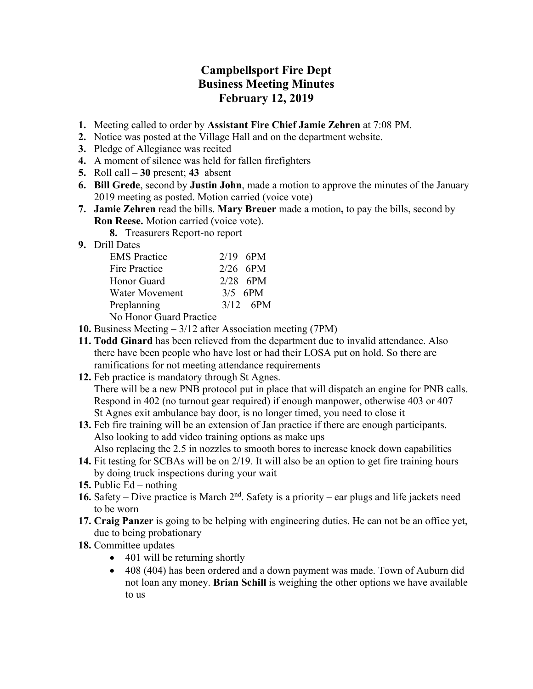## **Campbellsport Fire Dept Business Meeting Minutes February 12, 2019**

- **1.** Meeting called to order by **Assistant Fire Chief Jamie Zehren** at 7:08 PM.
- **2.** Notice was posted at the Village Hall and on the department website.
- **3.** Pledge of Allegiance was recited
- **4.** A moment of silence was held for fallen firefighters
- **5.** Roll call **30** present; **43** absent
- **6. Bill Grede**, second by **Justin John**, made a motion to approve the minutes of the January 2019 meeting as posted. Motion carried (voice vote)
- **7. Jamie Zehren** read the bills. **Mary Breuer** made a motion**,** to pay the bills, second by **Ron Reese.** Motion carried (voice vote).
	- **8.** Treasurers Report-no report
- **9.** Drill Dates

| <b>EMS</b> Practice     | $2/19$ 6PM |
|-------------------------|------------|
| Fire Practice           | $2/26$ 6PM |
| Honor Guard             | $2/28$ 6PM |
| <b>Water Movement</b>   | $3/5$ 6PM  |
| Preplanning             | $3/12$ 6PM |
| No Honor Guard Practice |            |

- **10.** Business Meeting 3/12 after Association meeting (7PM)
- **11. Todd Ginard** has been relieved from the department due to invalid attendance. Also there have been people who have lost or had their LOSA put on hold. So there are ramifications for not meeting attendance requirements
- **12.** Feb practice is mandatory through St Agnes. There will be a new PNB protocol put in place that will dispatch an engine for PNB calls. Respond in 402 (no turnout gear required) if enough manpower, otherwise 403 or 407 St Agnes exit ambulance bay door, is no longer timed, you need to close it
- **13.** Feb fire training will be an extension of Jan practice if there are enough participants. Also looking to add video training options as make ups Also replacing the 2.5 in nozzles to smooth bores to increase knock down capabilities
- **14.** Fit testing for SCBAs will be on 2/19. It will also be an option to get fire training hours by doing truck inspections during your wait
- **15.** Public Ed nothing
- **16.** Safety Dive practice is March 2nd. Safety is a priority ear plugs and life jackets need to be worn
- **17. Craig Panzer** is going to be helping with engineering duties. He can not be an office yet, due to being probationary
- **18.** Committee updates
	- 401 will be returning shortly
	- 408 (404) has been ordered and a down payment was made. Town of Auburn did not loan any money. **Brian Schill** is weighing the other options we have available to us